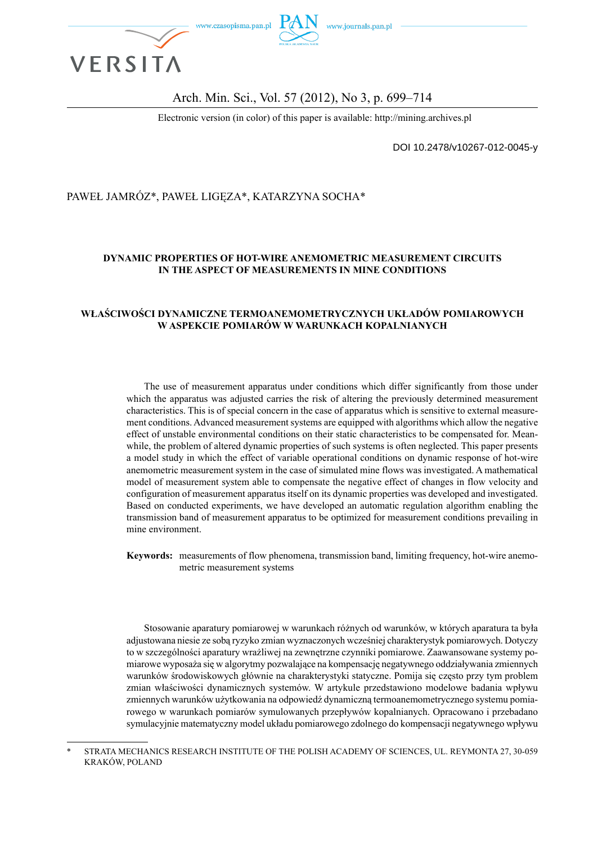

#### Arch. Min. Sci., Vol. 57 (2012), No 3, p. 699–714

Electronic version (in color) of this paper is available: http://mining.archives.pl

DOI 10.2478/v10267-012-0045-y

#### PAWEŁ JAMRÓZ\*, PAWEŁ LIGĘZA\*, KATARZYNA SOCHA\*

#### **DYNAMIC PROPERTIES OF HOT-WIRE ANEMOMETRIC MEASUREMENT CIRCUITS IN THE ASPECT OF MEASUREMENTS IN MINE CONDITIONS**

#### **WŁAŚCIWOŚCI DYNAMICZNE TERMOANEMOMETRYCZNYCH UKŁADÓW POMIAROWYCH W ASPEKCIE POMIARÓW W WARUNKACH KOPALNIANYCH**

The use of measurement apparatus under conditions which differ significantly from those under which the apparatus was adjusted carries the risk of altering the previously determined measurement characteristics. This is of special concern in the case of apparatus which is sensitive to external measurement conditions. Advanced measurement systems are equipped with algorithms which allow the negative effect of unstable environmental conditions on their static characteristics to be compensated for. Meanwhile, the problem of altered dynamic properties of such systems is often neglected. This paper presents a model study in which the effect of variable operational conditions on dynamic response of hot-wire anemometric measurement system in the case of simulated mine flows was investigated. A mathematical model of measurement system able to compensate the negative effect of changes in flow velocity and configuration of measurement apparatus itself on its dynamic properties was developed and investigated. Based on conducted experiments, we have developed an automatic regulation algorithm enabling the transmission band of measurement apparatus to be optimized for measurement conditions prevailing in mine environment.

**Keywords:** measurements of flow phenomena, transmission band, limiting frequency, hot-wire anemometric measurement systems

Stosowanie aparatury pomiarowej w warunkach różnych od warunków, w których aparatura ta była adjustowana niesie ze sobą ryzyko zmian wyznaczonych wcześniej charakterystyk pomiarowych. Dotyczy to w szczególności aparatury wrażliwej na zewnętrzne czynniki pomiarowe. Zaawansowane systemy pomiarowe wyposaża się w algorytmy pozwalające na kompensację negatywnego oddziaływania zmiennych warunków środowiskowych głównie na charakterystyki statyczne. Pomija się często przy tym problem zmian właściwości dynamicznych systemów. W artykule przedstawiono modelowe badania wpływu zmiennych warunków użytkowania na odpowiedź dynamiczną termoanemometrycznego systemu pomiarowego w warunkach pomiarów symulowanych przepływów kopalnianych. Opracowano i przebadano symulacyjnie matematyczny model układu pomiarowego zdolnego do kompensacji negatywnego wpływu

STRATA MECHANICS RESEARCH INSTITUTE OF THE POLISH ACADEMY OF SCIENCES, UL. REYMONTA 27, 30-059 KRAKÓW, POLAND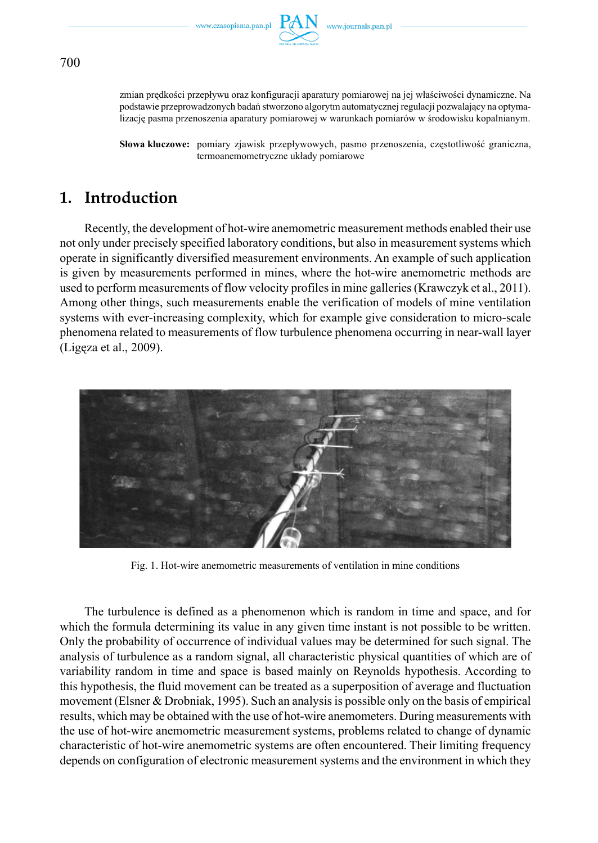

zmian prędkości przepływu oraz konfiguracji aparatury pomiarowej na jej właściwości dynamiczne. Na podstawie przeprowadzonych badań stworzono algorytm automatycznej regulacji pozwalający na optymalizację pasma przenoszenia aparatury pomiarowej w warunkach pomiarów w środowisku kopalnianym.

**Słowa kluczowe:** pomiary zjawisk przepływowych, pasmo przenoszenia, częstotliwość graniczna, termoanemometryczne układy pomiarowe

# **1. Introduction**

Recently, the development of hot-wire anemometric measurement methods enabled their use not only under precisely specified laboratory conditions, but also in measurement systems which operate in significantly diversified measurement environments. An example of such application is given by measurements performed in mines, where the hot-wire anemometric methods are used to perform measurements of flow velocity profiles in mine galleries (Krawczyk et al., 2011). Among other things, such measurements enable the verification of models of mine ventilation systems with ever-increasing complexity, which for example give consideration to micro-scale phenomena related to measurements of flow turbulence phenomena occurring in near-wall layer (Ligęza et al., 2009).



Fig. 1. Hot-wire anemometric measurements of ventilation in mine conditions

The turbulence is defined as a phenomenon which is random in time and space, and for which the formula determining its value in any given time instant is not possible to be written. Only the probability of occurrence of individual values may be determined for such signal. The analysis of turbulence as a random signal, all characteristic physical quantities of which are of variability random in time and space is based mainly on Reynolds hypothesis. According to this hypothesis, the fluid movement can be treated as a superposition of average and fluctuation movement (Elsner & Drobniak, 1995). Such an analysis is possible only on the basis of empirical results, which may be obtained with the use of hot-wire anemometers. During measurements with the use of hot-wire anemometric measurement systems, problems related to change of dynamic characteristic of hot-wire anemometric systems are often encountered. Their limiting frequency depends on configuration of electronic measurement systems and the environment in which they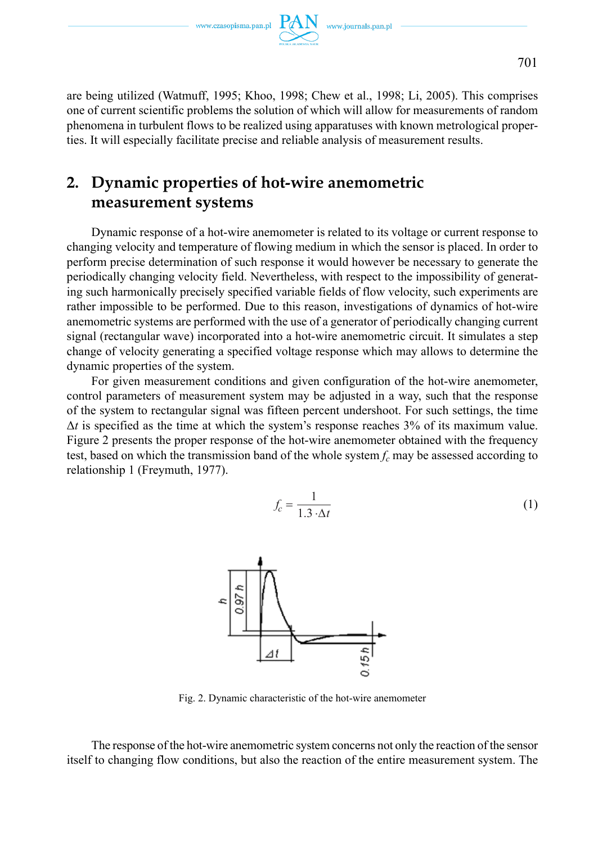

are being utilized (Watmuff, 1995; Khoo, 1998; Chew et al., 1998; Li, 2005). This comprises one of current scientific problems the solution of which will allow for measurements of random phenomena in turbulent flows to be realized using apparatuses with known metrological properties. It will especially facilitate precise and reliable analysis of measurement results.

## **2. Dynamic properties of hot-wire anemometric measurement systems**

Dynamic response of a hot-wire anemometer is related to its voltage or current response to changing velocity and temperature of flowing medium in which the sensor is placed. In order to perform precise determination of such response it would however be necessary to generate the periodically changing velocity field. Nevertheless, with respect to the impossibility of generating such harmonically precisely specified variable fields of flow velocity, such experiments are rather impossible to be performed. Due to this reason, investigations of dynamics of hot-wire anemometric systems are performed with the use of a generator of periodically changing current signal (rectangular wave) incorporated into a hot-wire anemometric circuit. It simulates a step change of velocity generating a specified voltage response which may allows to determine the dynamic properties of the system.

For given measurement conditions and given configuration of the hot-wire anemometer, control parameters of measurement system may be adjusted in a way, such that the response of the system to rectangular signal was fifteen percent undershoot. For such settings, the time  $\Delta t$  is specified as the time at which the system's response reaches 3% of its maximum value. Figure 2 presents the proper response of the hot-wire anemometer obtained with the frequency test, based on which the transmission band of the whole system  $f_c$  may be assessed according to relationship 1 (Freymuth, 1977).

$$
f_c = \frac{1}{1.3 \cdot \Delta t} \tag{1}
$$



Fig. 2. Dynamic characteristic of the hot-wire anemometer

The response of the hot-wire anemometric system concerns not only the reaction of the sensor itself to changing flow conditions, but also the reaction of the entire measurement system. The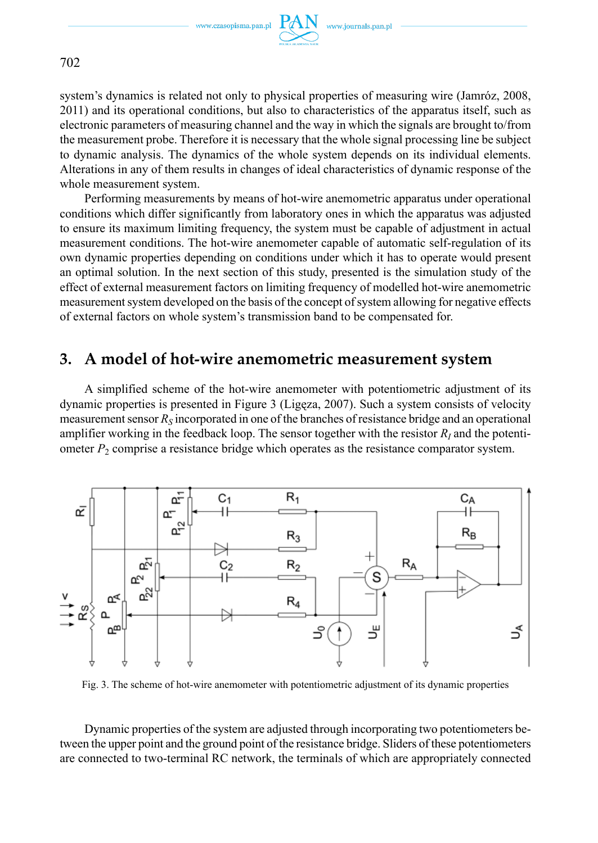

702

system's dynamics is related not only to physical properties of measuring wire (Jamróz, 2008, 2011) and its operational conditions, but also to characteristics of the apparatus itself, such as electronic parameters of measuring channel and the way in which the signals are brought to/from the measurement probe. Therefore it is necessary that the whole signal processing line be subject to dynamic analysis. The dynamics of the whole system depends on its individual elements. Alterations in any of them results in changes of ideal characteristics of dynamic response of the whole measurement system.

Performing measurements by means of hot-wire anemometric apparatus under operational conditions which differ significantly from laboratory ones in which the apparatus was adjusted to ensure its maximum limiting frequency, the system must be capable of adjustment in actual measurement conditions. The hot-wire anemometer capable of automatic self-regulation of its own dynamic properties depending on conditions under which it has to operate would present an optimal solution. In the next section of this study, presented is the simulation study of the effect of external measurement factors on limiting frequency of modelled hot-wire anemometric measurement system developed on the basis of the concept of system allowing for negative effects of external factors on whole system's transmission band to be compensated for.

## **3. A model of hot-wire anemometric measurement system**

A simplified scheme of the hot-wire anemometer with potentiometric adjustment of its dynamic properties is presented in Figure 3 (Ligęza, 2007). Such a system consists of velocity measurement sensor  $R<sub>S</sub>$  incorporated in one of the branches of resistance bridge and an operational amplifier working in the feedback loop. The sensor together with the resistor  $R<sub>I</sub>$  and the potentiometer  $P_2$  comprise a resistance bridge which operates as the resistance comparator system.



Fig. 3. The scheme of hot-wire anemometer with potentiometric adjustment of its dynamic properties

Dynamic properties of the system are adjusted through incorporating two potentiometers between the upper point and the ground point of the resistance bridge. Sliders of these potentiometers are connected to two-terminal RC network, the terminals of which are appropriately connected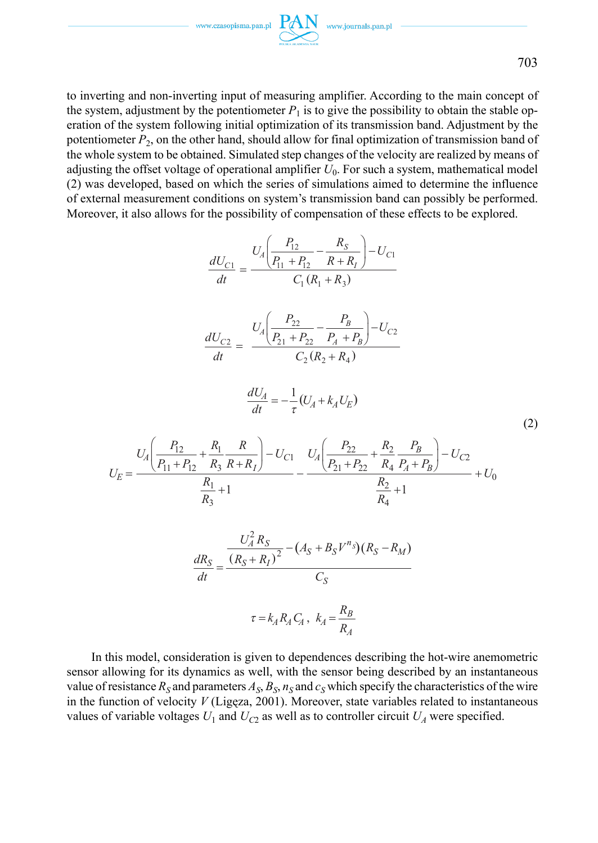703

to inverting and non-inverting input of measuring amplifier. According to the main concept of the system, adjustment by the potentiometer  $P_1$  is to give the possibility to obtain the stable operation of the system following initial optimization of its transmission band. Adjustment by the potentiometer  $P_2$ , on the other hand, should allow for final optimization of transmission band of the whole system to be obtained. Simulated step changes of the velocity are realized by means of adjusting the offset voltage of operational amplifier *U*0. For such a system, mathematical model (2) was developed, based on which the series of simulations aimed to determine the influence of external measurement conditions on system's transmission band can possibly be performed. Moreover, it also allows for the possibility of compensation of these effects to be explored.

$$
\frac{dU_{C1}}{dt} = \frac{U_A \left(\frac{P_{12}}{P_{11} + P_{12}} - \frac{R_S}{R + R_I}\right) - U_{C1}}{C_1 (R_1 + R_3)}
$$
\n
$$
\frac{dU_{C2}}{dt} = \frac{U_A \left(\frac{P_{22}}{P_{21} + P_{22}} - \frac{P_B}{P_A + P_B}\right) - U_{C2}}{C_2 (R_2 + R_4)}
$$
\n
$$
\frac{dU_A}{dt} = -\frac{1}{\tau} (U_A + k_A U_E)
$$
\n
$$
U_E = \frac{U_A \left(\frac{P_{12}}{P_{11} + P_{12}} + \frac{R_1}{R_3} \frac{R}{R + R_I}\right) - U_{C1}}{R_1} - \frac{U_A \left(\frac{P_{22}}{P_{21} + P_{22}} + \frac{R_2}{R_4} \frac{P_B}{P_A + P_B}\right) - U_{C2}}{R_2} + U_0
$$
\n
$$
\frac{dR_S}{dt} = \frac{\frac{U_A^2 R_S}{(R_S + R_I)^2} - (A_S + B_S V^{n_S})(R_S - R_M)}{C_S}
$$
\n
$$
\tau = k_A R_A C_A, k_A = \frac{R_B}{R_A}
$$
\n(11)

In this model, consideration is given to dependences describing the hot-wire anemometric sensor allowing for its dynamics as well, with the sensor being described by an instantaneous value of resistance  $R_S$  and parameters  $A_S$ ,  $B_S$ ,  $n_S$  and  $c_S$  which specify the characteristics of the wire in the function of velocity *V* (Ligęza, 2001). Moreover, state variables related to instantaneous values of variable voltages  $U_1$  and  $U_{C2}$  as well as to controller circuit  $U_A$  were specified.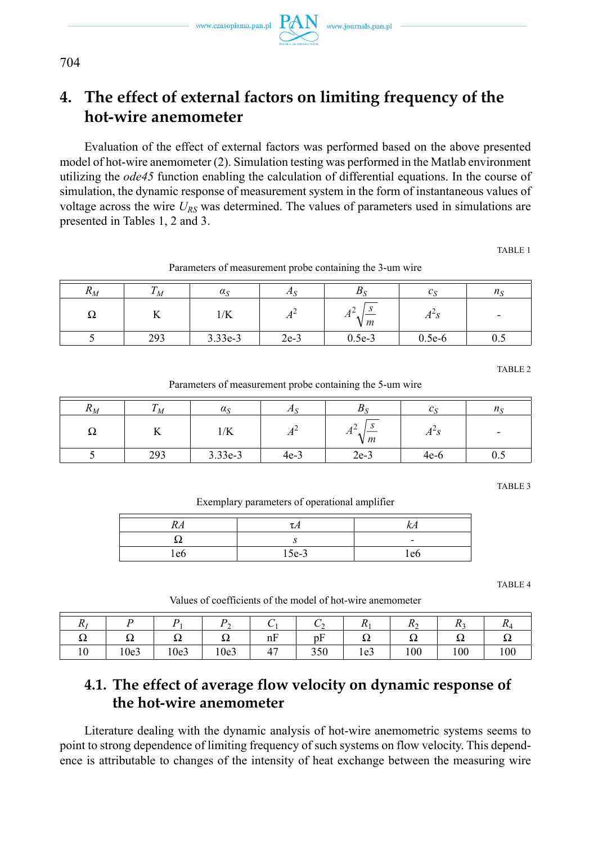# **4. The effect of external factors on limiting frequency of the hot-wire anemometer**

Evaluation of the effect of external factors was performed based on the above presented model of hot-wire anemometer (2). Simulation testing was performed in the Matlab environment utilizing the *ode45* function enabling the calculation of differential equations. In the course of simulation, the dynamic response of measurement system in the form of instantaneous values of voltage across the wire  $U_{RS}$  was determined. The values of parameters used in simulations are presented in Tables 1, 2 and 3.

TABLE 1

| $\mathbf{r}_M$ |               | $\alpha_{\rm S}$ | 71     |           |                |     |
|----------------|---------------|------------------|--------|-----------|----------------|-----|
| 94             | ŦŦ            | 1/K              | 71     | 71<br>V m | A <sub>o</sub> |     |
|                | 2002<br>ر ر ب | 3.33e-3          | $2e-3$ | $0.5e-3$  | $0.5e-6$       | ∪.∪ |

Parameters of measurement probe containing the 3-um wire

TABLE 2

Parameters of measurement probe containing the 5-um wire

| $\mathbf{u}_M$ | М   | $\alpha_S$ | Æ.       | Dσ                             |             |     |
|----------------|-----|------------|----------|--------------------------------|-------------|-----|
| 77             |     | 1/K        | . .<br>л | . .<br>$\pi$<br>V <sub>m</sub> | $A^{\sim}S$ | -   |
|                | 293 | 3.33e-3    | $4e-3$   | $2e-3$                         | $4e-6$      | U.J |

TABLE 3

Exemplary parameters of operational amplifier

| RA  |         | KА                       |
|-----|---------|--------------------------|
| . . |         | $\overline{\phantom{0}}$ |
| 'e6 | $15e-3$ | l e6                     |

TABLE 4

Values of coefficients of the model of hot-wire anemometer

| $\mathbf{v}$ |      |      | ∸    |                | ◡<br>∸             | $\overline{11}$ | $\overline{1}$<br>∸ | $\mathbf{u}$ | $\mathbf{u}$ |
|--------------|------|------|------|----------------|--------------------|-----------------|---------------------|--------------|--------------|
| ΔZ           | ΔZ   | 34   | ΔZ   | nF             | $\mathbf{r}$<br>pŀ | 54              | ΔZ                  | 54           | 24           |
| 10           | 10e3 | 10e3 | 10e3 | $\overline{a}$ | 350                | 1e <sub>3</sub> | 100                 | 100          | 100          |

## **4.1. The effect of average flow velocity on dynamic response of the hot-wire anemometer**

Literature dealing with the dynamic analysis of hot-wire anemometric systems seems to point to strong dependence of limiting frequency of such systems on flow velocity. This dependence is attributable to changes of the intensity of heat exchange between the measuring wire

704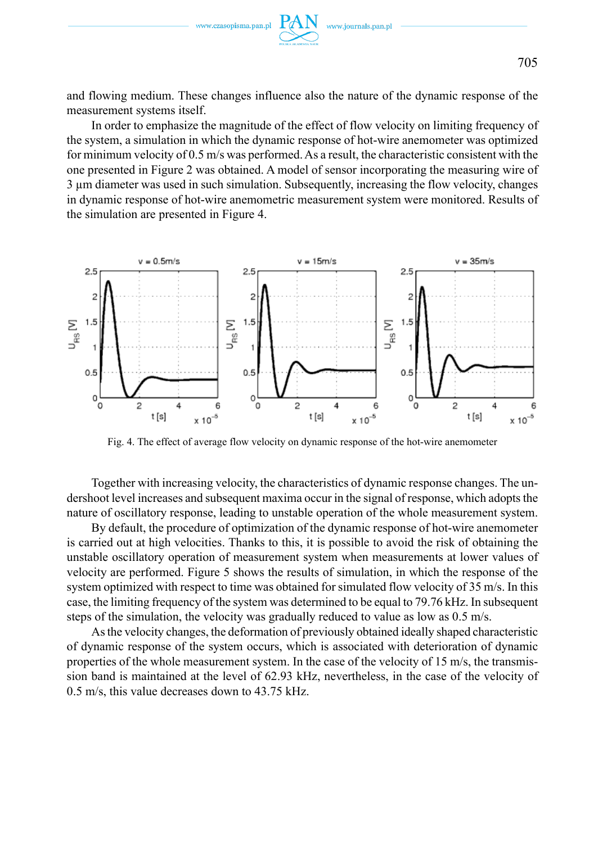

and flowing medium. These changes influence also the nature of the dynamic response of the measurement systems itself.

In order to emphasize the magnitude of the effect of flow velocity on limiting frequency of the system, a simulation in which the dynamic response of hot-wire anemometer was optimized for minimum velocity of 0.5 m/s was performed. As a result, the characteristic consistent with the one presented in Figure 2 was obtained. A model of sensor incorporating the measuring wire of 3 µm diameter was used in such simulation. Subsequently, increasing the flow velocity, changes in dynamic response of hot-wire anemometric measurement system were monitored. Results of the simulation are presented in Figure 4.



Fig. 4. The effect of average flow velocity on dynamic response of the hot-wire anemometer

Together with increasing velocity, the characteristics of dynamic response changes. The undershoot level increases and subsequent maxima occur in the signal of response, which adopts the nature of oscillatory response, leading to unstable operation of the whole measurement system.

By default, the procedure of optimization of the dynamic response of hot-wire anemometer is carried out at high velocities. Thanks to this, it is possible to avoid the risk of obtaining the unstable oscillatory operation of measurement system when measurements at lower values of velocity are performed. Figure 5 shows the results of simulation, in which the response of the system optimized with respect to time was obtained for simulated flow velocity of 35 m/s. In this case, the limiting frequency of the system was determined to be equal to 79.76 kHz. In subsequent steps of the simulation, the velocity was gradually reduced to value as low as 0.5 m/s.

As the velocity changes, the deformation of previously obtained ideally shaped characteristic of dynamic response of the system occurs, which is associated with deterioration of dynamic properties of the whole measurement system. In the case of the velocity of 15 m/s, the transmission band is maintained at the level of 62.93 kHz, nevertheless, in the case of the velocity of 0.5 m/s, this value decreases down to 43.75 kHz.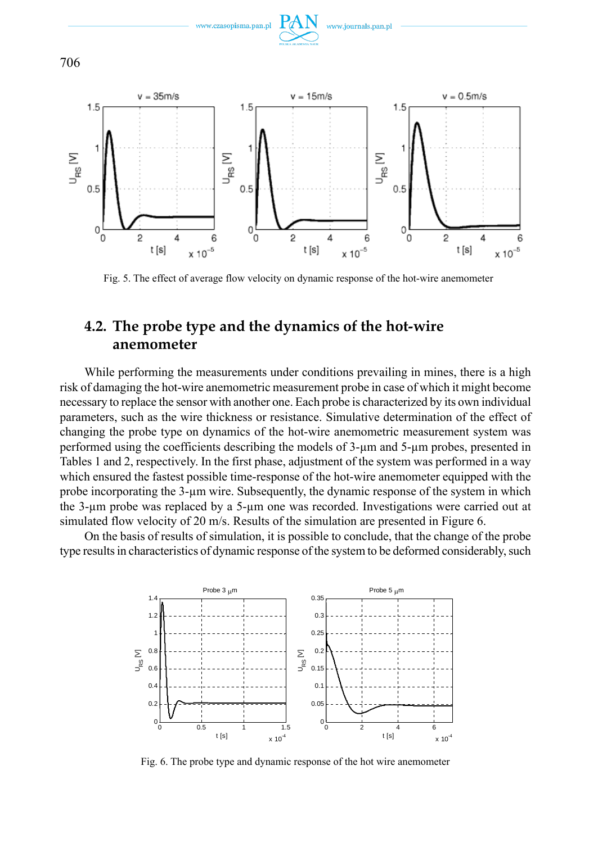

www.journals.pan.pl

www.czasopisma.pan.p

Fig. 5. The effect of average flow velocity on dynamic response of the hot-wire anemometer

## **4.2. The probe type and the dynamics of the hot-wire anemometer**

While performing the measurements under conditions prevailing in mines, there is a high risk of damaging the hot-wire anemometric measurement probe in case of which it might become necessary to replace the sensor with another one. Each probe is characterized by its own individual parameters, such as the wire thickness or resistance. Simulative determination of the effect of changing the probe type on dynamics of the hot-wire anemometric measurement system was performed using the coefficients describing the models of 3-µm and 5-µm probes, presented in Tables 1 and 2, respectively. In the first phase, adjustment of the system was performed in a way which ensured the fastest possible time-response of the hot-wire anemometer equipped with the probe incorporating the 3-µm wire. Subsequently, the dynamic response of the system in which the 3-µm probe was replaced by a 5-µm one was recorded. Investigations were carried out at simulated flow velocity of 20 m/s. Results of the simulation are presented in Figure 6.

On the basis of results of simulation, it is possible to conclude, that the change of the probe type results in characteristics of dynamic response of the system to be deformed considerably, such



Fig. 6. The probe type and dynamic response of the hot wire anemometer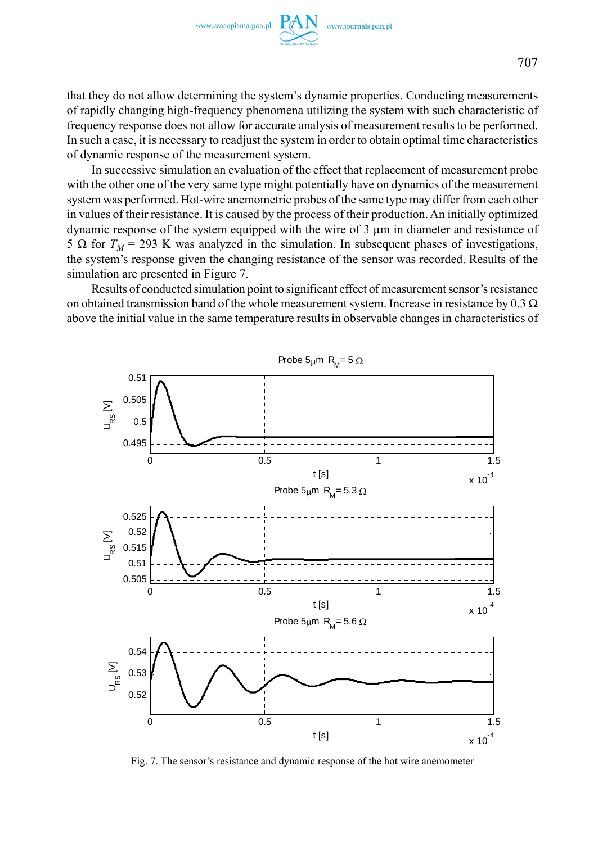

that they do not allow determining the system's dynamic properties. Conducting measurements of rapidly changing high-frequency phenomena utilizing the system with such characteristic of frequency response does not allow for accurate analysis of measurement results to be performed. In such a case, it is necessary to readjust the system in order to obtain optimal time characteristics of dynamic response of the measurement system.

In successive simulation an evaluation of the effect that replacement of measurement probe with the other one of the very same type might potentially have on dynamics of the measurement system was performed. Hot-wire anemometric probes of the same type may differ from each other in values of their resistance. It is caused by the process of their production. An initially optimized dynamic response of the system equipped with the wire of 3 µm in diameter and resistance of 5 Ω for  $T_M$  = 293 K was analyzed in the simulation. In subsequent phases of investigations, the system's response given the changing resistance of the sensor was recorded. Results of the simulation are presented in Figure 7.

Results of conducted simulation point to significant effect of measurement sensor's resistance on obtained transmission band of the whole measurement system. Increase in resistance by 0.3  $\Omega$ above the initial value in the same temperature results in observable changes in characteristics of



Fig. 7. The sensor's resistance and dynamic response of the hot wire anemometer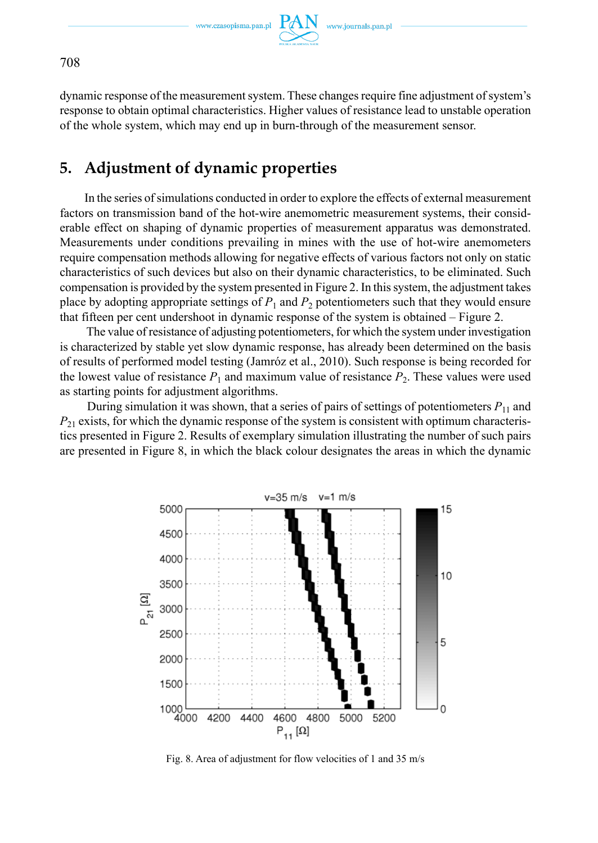

dynamic response of the measurement system. These changes require fine adjustment of system's response to obtain optimal characteristics. Higher values of resistance lead to unstable operation of the whole system, which may end up in burn-through of the measurement sensor.

## **5. Adjustment of dynamic properties**

In the series of simulations conducted in order to explore the effects of external measurement factors on transmission band of the hot-wire anemometric measurement systems, their considerable effect on shaping of dynamic properties of measurement apparatus was demonstrated. Measurements under conditions prevailing in mines with the use of hot-wire anemometers require compensation methods allowing for negative effects of various factors not only on static characteristics of such devices but also on their dynamic characteristics, to be eliminated. Such compensation is provided by the system presented in Figure 2. In this system, the adjustment takes place by adopting appropriate settings of  $P_1$  and  $P_2$  potentiometers such that they would ensure that fifteen per cent undershoot in dynamic response of the system is obtained – Figure 2.

 The value of resistance of adjusting potentiometers, for which the system under investigation is characterized by stable yet slow dynamic response, has already been determined on the basis of results of performed model testing (Jamróz et al., 2010). Such response is being recorded for the lowest value of resistance  $P_1$  and maximum value of resistance  $P_2$ . These values were used as starting points for adjustment algorithms.

During simulation it was shown, that a series of pairs of settings of potentiometers  $P_{11}$  and  $P_{21}$  exists, for which the dynamic response of the system is consistent with optimum characteristics presented in Figure 2. Results of exemplary simulation illustrating the number of such pairs are presented in Figure 8, in which the black colour designates the areas in which the dynamic



Fig. 8. Area of adjustment for flow velocities of 1 and 35 m/s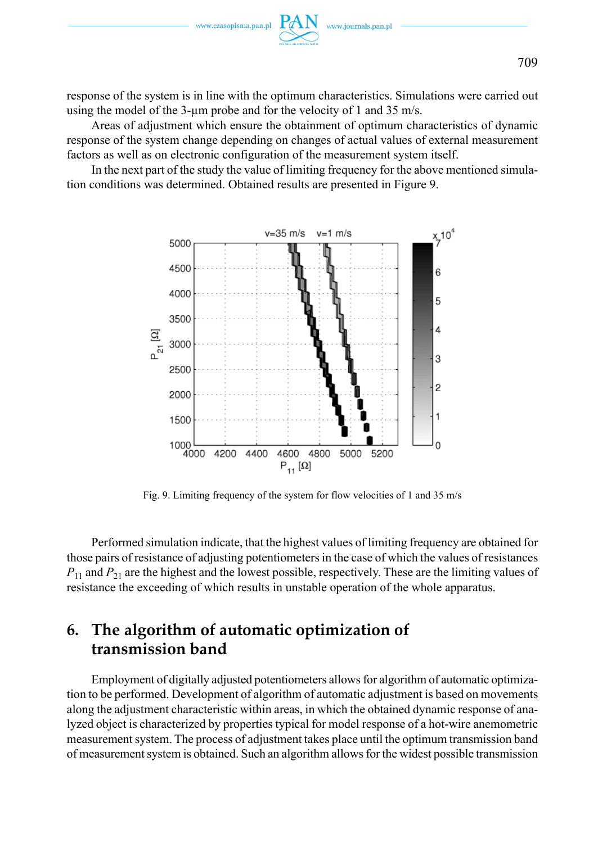response of the system is in line with the optimum characteristics. Simulations were carried out using the model of the 3-um probe and for the velocity of 1 and 35 m/s.

Areas of adjustment which ensure the obtainment of optimum characteristics of dynamic response of the system change depending on changes of actual values of external measurement factors as well as on electronic configuration of the measurement system itself.

In the next part of the study the value of limiting frequency for the above mentioned simulation conditions was determined. Obtained results are presented in Figure 9.



Fig. 9. Limiting frequency of the system for flow velocities of 1 and 35 m/s

Performed simulation indicate, that the highest values of limiting frequency are obtained for those pairs of resistance of adjusting potentiometers in the case of which the values of resistances *P*<sub>11</sub> and *P*<sub>21</sub> are the highest and the lowest possible, respectively. These are the limiting values of resistance the exceeding of which results in unstable operation of the whole apparatus.

# **6. The algorithm of automatic optimization of transmission band**

Employment of digitally adjusted potentiometers allows for algorithm of automatic optimization to be performed. Development of algorithm of automatic adjustment is based on movements along the adjustment characteristic within areas, in which the obtained dynamic response of analyzed object is characterized by properties typical for model response of a hot-wire anemometric measurement system. The process of adjustment takes place until the optimum transmission band of measurement system is obtained. Such an algorithm allows for the widest possible transmission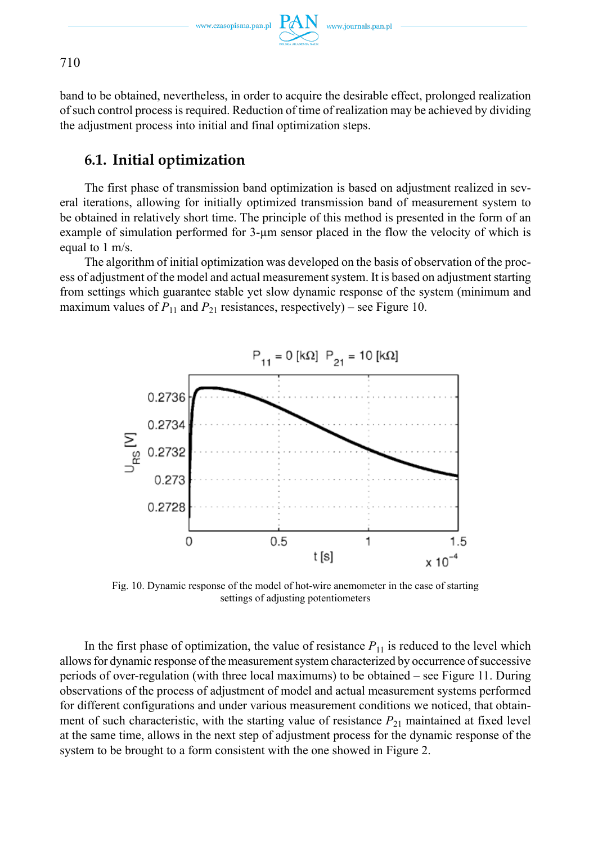

band to be obtained, nevertheless, in order to acquire the desirable effect, prolonged realization of such control process is required. Reduction of time of realization may be achieved by dividing the adjustment process into initial and final optimization steps.

## **6.1. Initial optimization**

The first phase of transmission band optimization is based on adjustment realized in several iterations, allowing for initially optimized transmission band of measurement system to be obtained in relatively short time. The principle of this method is presented in the form of an example of simulation performed for 3-µm sensor placed in the flow the velocity of which is equal to 1 m/s.

The algorithm of initial optimization was developed on the basis of observation of the process of adjustment of the model and actual measurement system. It is based on adjustment starting from settings which guarantee stable yet slow dynamic response of the system (minimum and maximum values of  $P_{11}$  and  $P_{21}$  resistances, respectively) – see Figure 10.



Fig. 10. Dynamic response of the model of hot-wire anemometer in the case of starting settings of adjusting potentiometers

In the first phase of optimization, the value of resistance  $P_{11}$  is reduced to the level which allows for dynamic response of the measurement system characterized by occurrence of successive periods of over-regulation (with three local maximums) to be obtained – see Figure 11. During observations of the process of adjustment of model and actual measurement systems performed for different configurations and under various measurement conditions we noticed, that obtainment of such characteristic, with the starting value of resistance  $P_{21}$  maintained at fixed level at the same time, allows in the next step of adjustment process for the dynamic response of the system to be brought to a form consistent with the one showed in Figure 2.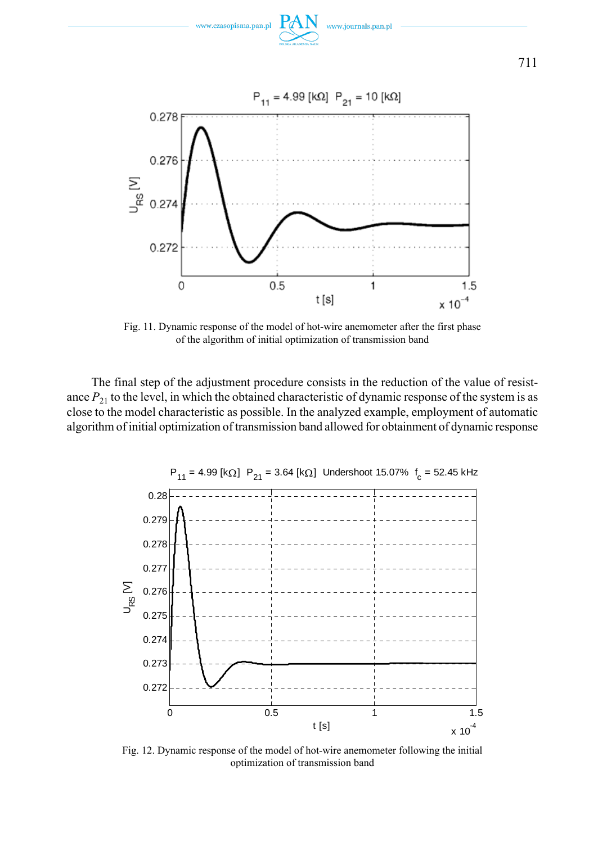

Fig. 11. Dynamic response of the model of hot-wire anemometer after the first phase of the algorithm of initial optimization of transmission band

The final step of the adjustment procedure consists in the reduction of the value of resistance  $P_{21}$  to the level, in which the obtained characteristic of dynamic response of the system is as close to the model characteristic as possible. In the analyzed example, employment of automatic algorithm of initial optimization of transmission band allowed for obtainment of dynamic response



Fig. 12. Dynamic response of the model of hot-wire anemometer following the initial optimization of transmission band

711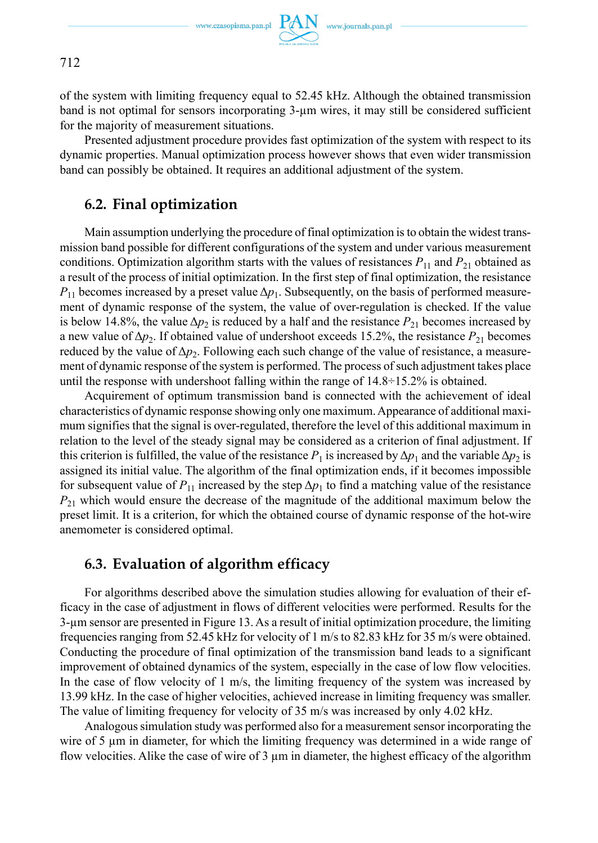

of the system with limiting frequency equal to 52.45 kHz. Although the obtained transmission band is not optimal for sensors incorporating 3-µm wires, it may still be considered sufficient for the majority of measurement situations.

Presented adjustment procedure provides fast optimization of the system with respect to its dynamic properties. Manual optimization process however shows that even wider transmission band can possibly be obtained. It requires an additional adjustment of the system.

### **6.2. Final optimization**

Main assumption underlying the procedure of final optimization is to obtain the widest transmission band possible for different configurations of the system and under various measurement conditions. Optimization algorithm starts with the values of resistances  $P_{11}$  and  $P_{21}$  obtained as a result of the process of initial optimization. In the first step of final optimization, the resistance  $P_{11}$  becomes increased by a preset value  $\Delta p_1$ . Subsequently, on the basis of performed measurement of dynamic response of the system, the value of over-regulation is checked. If the value is below 14.8%, the value  $\Delta p_2$  is reduced by a half and the resistance  $P_{21}$  becomes increased by a new value of  $\Delta p_2$ . If obtained value of undershoot exceeds 15.2%, the resistance  $P_{21}$  becomes reduced by the value of  $\Delta p_2$ . Following each such change of the value of resistance, a measurement of dynamic response of the system is performed. The process of such adjustment takes place until the response with undershoot falling within the range of  $14.8 \div 15.2\%$  is obtained.

Acquirement of optimum transmission band is connected with the achievement of ideal characteristics of dynamic response showing only one maximum. Appearance of additional maximum signifies that the signal is over-regulated, therefore the level of this additional maximum in relation to the level of the steady signal may be considered as a criterion of final adjustment. If this criterion is fulfilled, the value of the resistance  $P_1$  is increased by  $\Delta p_1$  and the variable  $\Delta p_2$  is assigned its initial value. The algorithm of the final optimization ends, if it becomes impossible for subsequent value of  $P_{11}$  increased by the step  $\Delta p_1$  to find a matching value of the resistance  $P_{21}$  which would ensure the decrease of the magnitude of the additional maximum below the preset limit. It is a criterion, for which the obtained course of dynamic response of the hot-wire anemometer is considered optimal.

### **6.3. Evaluation of algorithm efficacy**

For algorithms described above the simulation studies allowing for evaluation of their efficacy in the case of adjustment in flows of different velocities were performed. Results for the 3-µm sensor are presented in Figure 13. As a result of initial optimization procedure, the limiting frequencies ranging from 52.45 kHz for velocity of 1 m/s to 82.83 kHz for 35 m/s were obtained. Conducting the procedure of final optimization of the transmission band leads to a significant improvement of obtained dynamics of the system, especially in the case of low flow velocities. In the case of flow velocity of 1 m/s, the limiting frequency of the system was increased by 13.99 kHz. In the case of higher velocities, achieved increase in limiting frequency was smaller. The value of limiting frequency for velocity of 35 m/s was increased by only 4.02 kHz.

Analogous simulation study was performed also for a measurement sensor incorporating the wire of 5  $\mu$ m in diameter, for which the limiting frequency was determined in a wide range of flow velocities. Alike the case of wire of  $3 \mu m$  in diameter, the highest efficacy of the algorithm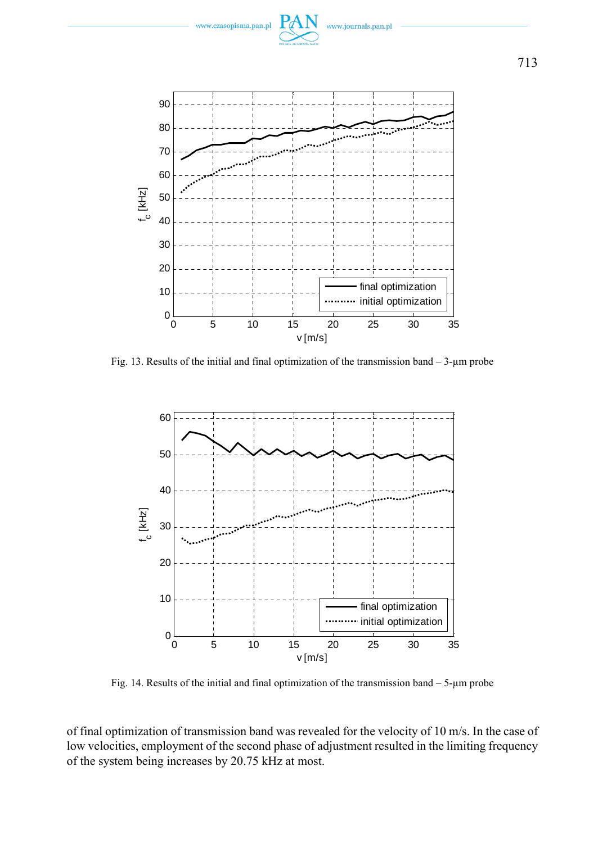

vww.journals.pan.pl

Fig. 13. Results of the initial and final optimization of the transmission band  $-3$ -µm probe



Fig. 14. Results of the initial and final optimization of the transmission band – 5-µm probe

of final optimization of transmission band was revealed for the velocity of 10 m/s. In the case of low velocities, employment of the second phase of adjustment resulted in the limiting frequency of the system being increases by 20.75 kHz at most.